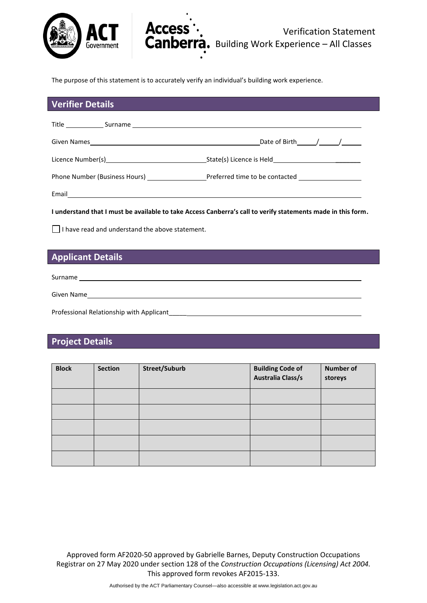

The purpose of this statement is to accurately verify an individual's building work experience.

**Access** 

### **Verifier Details**

| Given Names<br>the contract of the contract of the contract of the contract of the contract of the contract of the contract of | Date of Birth $/$ $/$ $/$                                                           |
|--------------------------------------------------------------------------------------------------------------------------------|-------------------------------------------------------------------------------------|
| Licence Number(s) and the control of the control of the control of the control of the control of the control o                 | State(s) Licence is Held State(s) Licence is Held State(s) Licence is Held State(s) |
| Phone Number (Business Hours)                                                                                                  | Preferred time to be contacted                                                      |
| Email                                                                                                                          |                                                                                     |

**I understand that I must be available to take Access Canberra's call to verify statements made in this form.**

 $\Box$  I have read and understand the above statement.

## **Applicant Details**

Surname

Given Name

Professional Relationship with Applicant\_\_\_\_\_

# **Project Details**

| <b>Block</b> | <b>Section</b> | Street/Suburb | <b>Building Code of</b><br>Australia Class/s | <b>Number of</b><br>storeys |
|--------------|----------------|---------------|----------------------------------------------|-----------------------------|
|              |                |               |                                              |                             |
|              |                |               |                                              |                             |
|              |                |               |                                              |                             |
|              |                |               |                                              |                             |
|              |                |               |                                              |                             |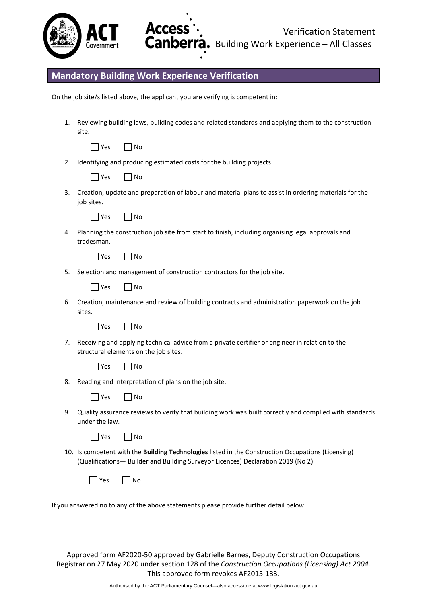

# **Mandatory Building Work Experience Verification**

On the job site/s listed above, the applicant you are verifying is competent in:

**Access** 

Canbel

1. Reviewing building laws, building codes and related standards and applying them to the construction site.

| $\sim$ | Ν٥ |
|--------|----|
|--------|----|

2. Identifying and producing estimated costs for the building projects.

| n c |  | N٥ |
|-----|--|----|
|-----|--|----|

3. Creation, update and preparation of labour and material plans to assist in ordering materials for the job sites.



4. Planning the construction job site from start to finish, including organising legal approvals and tradesman.

| $\sim$ | ገ |
|--------|---|
|--------|---|

5. Selection and management of construction contractors for the job site.

|  | Vac |  | N٥ |
|--|-----|--|----|
|--|-----|--|----|

6. Creation, maintenance and review of building contracts and administration paperwork on the job sites.

|  | Vac |  | N٥ |
|--|-----|--|----|
|--|-----|--|----|

7. Receiving and applying technical advice from a private certifier or engineer in relation to the structural elements on the job sites.

|  | ρς | N٥ |
|--|----|----|
|--|----|----|

8. Reading and interpretation of plans on the job site.

| V≏c | No |
|-----|----|
|-----|----|

9. Quality assurance reviews to verify that building work was built correctly and complied with standards under the law.

|  | N٥ |
|--|----|
|--|----|

10. Is competent with the **Building Technologies** listed in the Construction Occupations (Licensing) (Qualifications— Builder and Building Surveyor Licences) Declaration 2019 (No 2).

|  |  | n c<br>., |  | N٥ |
|--|--|-----------|--|----|
|--|--|-----------|--|----|

If you answered no to any of the above statements please provide further detail below: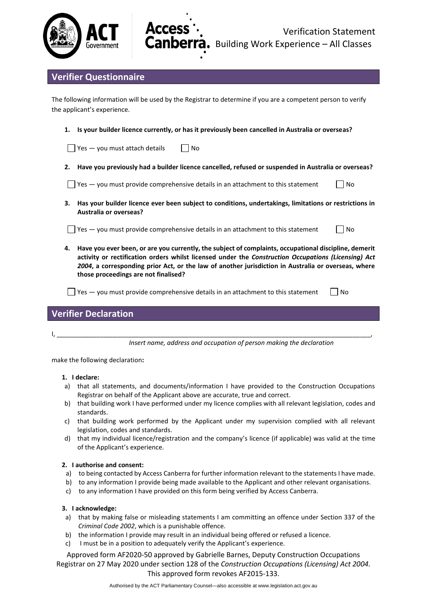



# **Verifier Questionnaire**

The following information will be used by the Registrar to determine if you are a competent person to verify the applicant's experience.

**1. Is your builder licence currently, or has it previously been cancelled in Australia or overseas?**

 $\Box$  Yes — you must attach details  $\Box$  No

**2. Have you previously had a builder licence cancelled, refused or suspended in Australia or overseas?** 

 $\Box$  Yes — you must provide comprehensive details in an attachment to this statement  $\Box$  No

**3. Has your builder licence ever been subject to conditions, undertakings, limitations or restrictions in Australia or overseas?** 

 $\Box$  Yes — you must provide comprehensive details in an attachment to this statement  $\Box$  No

**4. Have you ever been, or are you currently, the subject of complaints, occupational discipline, demerit activity or rectification orders whilst licensed under the** *Construction Occupations (Licensing) Act 2004***, a corresponding prior Act, or the law of another jurisdiction in Australia or overseas, where those proceedings are not finalised?** 

 $\Box$  Yes — you must provide comprehensive details in an attachment to this statement  $\Box$  No

### **Verifier Declaration**

I, \_\_\_\_\_\_\_\_\_\_\_\_\_\_\_\_\_\_\_\_\_\_\_\_\_\_\_\_\_\_\_\_\_\_\_\_\_\_\_\_\_\_\_\_\_\_\_\_\_\_\_\_\_\_\_\_\_\_\_\_\_\_\_\_\_\_\_\_\_\_\_\_\_\_\_\_\_\_\_\_\_\_\_\_\_\_\_\_,

*Insert name, address and occupation of person making the declaration*

make the following declaration**:**

### **1. I declare:**

- a) that all statements, and documents/information I have provided to the Construction Occupations Registrar on behalf of the Applicant above are accurate, true and correct.
- b) that building work I have performed under my licence complies with all relevant legislation, codes and standards.
- c) that building work performed by the Applicant under my supervision complied with all relevant legislation, codes and standards.
- d) that my individual licence/registration and the company's licence (if applicable) was valid at the time of the Applicant's experience.

### **2. I authorise and consent:**

- a) to being contacted by Access Canberra for further information relevant to the statements I have made.
- b) to any information I provide being made available to the Applicant and other relevant organisations.
- c) to any information I have provided on this form being verified by Access Canberra.

### **3. I acknowledge:**

- a) that by making false or misleading statements I am committing an offence under Section 337 of the *Criminal Code 2002*, which is a punishable offence.
- b) the information I provide may result in an individual being offered or refused a licence.
- c) I must be in a position to adequately verify the Applicant's experience.